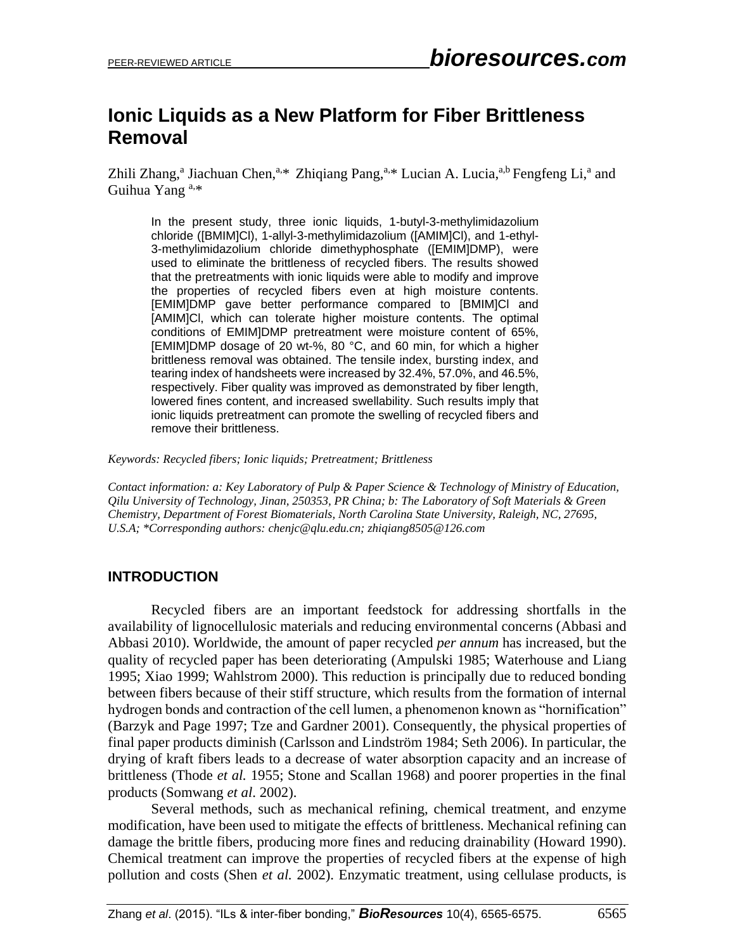# **Ionic Liquids as a New Platform for Fiber Brittleness Removal**

Zhili Zhang,<sup>a</sup> Jiachuan Chen,<sup>a,\*</sup> Zhiqiang Pang,<sup>a,\*</sup> Lucian A. Lucia,<sup>a,b</sup> Fengfeng Li,<sup>a</sup> and Guihua Yang a,\*

In the present study, three ionic liquids, 1-butyl-3-methylimidazolium chloride ([BMIM]Cl), 1-allyl-3-methylimidazolium ([AMIM]Cl), and 1-ethyl-3-methylimidazolium chloride dimethyphosphate ([EMIM]DMP), were used to eliminate the brittleness of recycled fibers. The results showed that the pretreatments with ionic liquids were able to modify and improve the properties of recycled fibers even at high moisture contents. [EMIM]DMP gave better performance compared to [BMIM]Cl and [AMIM]Cl, which can tolerate higher moisture contents. The optimal conditions of EMIM]DMP pretreatment were moisture content of 65%, [EMIM]DMP dosage of 20 wt-%, 80 °C, and 60 min, for which a higher brittleness removal was obtained. The tensile index, bursting index, and tearing index of handsheets were increased by 32.4%, 57.0%, and 46.5%, respectively. Fiber quality was improved as demonstrated by fiber length, lowered fines content, and increased swellability. Such results imply that ionic liquids pretreatment can promote the swelling of recycled fibers and remove their brittleness.

*Keywords: Recycled fibers; Ionic liquids; Pretreatment; Brittleness*

*Contact information: a: Key Laboratory of Pulp & Paper Science & Technology of Ministry of Education, Qilu University of Technology, Jinan, 250353, PR China; b: The Laboratory of Soft Materials & Green Chemistry, Department of Forest Biomaterials, North Carolina State University, Raleigh, NC, 27695, U.S.A; \*Corresponding authors[: chenjc@qlu.edu.cn;](mailto:chenjc@qlu.edu.cn) zhiqiang8505@126.com* 

## **INTRODUCTION**

Recycled fibers are an important feedstock for addressing shortfalls in the availability of lignocellulosic materials and reducing environmental concerns (Abbasi and Abbasi 2010). Worldwide, the amount of paper recycled *per annum* has increased, but the quality of recycled paper has been deteriorating (Ampulski 1985; Waterhouse and Liang 1995; Xiao 1999; Wahlstrom 2000). This reduction is principally due to reduced bonding between fibers because of their stiff structure, which results from the formation of internal hydrogen bonds and contraction of the cell lumen, a phenomenon known as "hornification" (Barzyk and Page 1997; Tze and Gardner 2001). Consequently, the physical properties of final paper products diminish (Carlsson and Lindström 1984; Seth 2006). In particular, the drying of kraft fibers leads to a decrease of water absorption capacity and an increase of brittleness (Thode *et al.* 1955; Stone and Scallan 1968) and poorer properties in the final products (Somwang *et al*. 2002).

Several methods, such as mechanical refining, chemical treatment, and enzyme modification, have been used to mitigate the effects of brittleness. Mechanical refining can damage the brittle fibers, producing more fines and reducing drainability (Howard 1990). Chemical treatment can improve the properties of recycled fibers at the expense of high pollution and costs (Shen *et al.* 2002). Enzymatic treatment, using cellulase products, is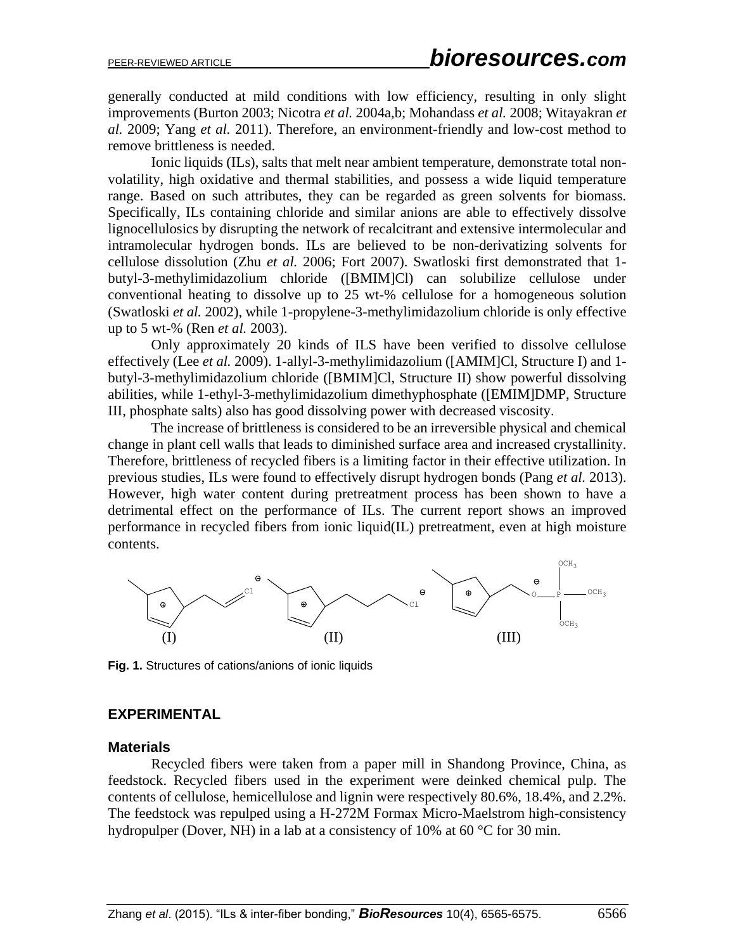generally conducted at mild conditions with low efficiency, resulting in only slight improvements (Burton 2003; Nicotra *et al.* 2004a,b; Mohandass *et al.* 2008; Witayakran *et al.* 2009; Yang *et al.* 2011). Therefore, an environment-friendly and low-cost method to remove brittleness is needed.

Ionic liquids (ILs), salts that melt near ambient temperature, demonstrate total nonvolatility, high oxidative and thermal stabilities, and possess a wide liquid temperature range. Based on such attributes, they can be regarded as green solvents for biomass. Specifically, ILs containing chloride and similar anions are able to effectively dissolve lignocellulosics by disrupting the network of recalcitrant and extensive intermolecular and intramolecular hydrogen bonds. ILs are believed to be non-derivatizing solvents for cellulose dissolution (Zhu *et al.* 2006; Fort 2007). Swatloski first demonstrated that 1 butyl-3-methylimidazolium chloride ([BMIM]Cl) can solubilize cellulose under conventional heating to dissolve up to 25 wt-% cellulose for a homogeneous solution (Swatloski *et al.* 2002), while 1-propylene-3-methylimidazolium chloride is only effective up to 5 wt-% (Ren *et al.* 2003).

Only approximately 20 kinds of ILS have been verified to dissolve cellulose effectively (Lee *et al.* 2009). 1-allyl-3-methylimidazolium ([AMIM]Cl, Structure I) and 1 butyl-3-methylimidazolium chloride ([BMIM]Cl, Structure II) show powerful dissolving abilities, while 1-ethyl-3-methylimidazolium dimethyphosphate ([EMIM]DMP, Structure III, phosphate salts) also has good dissolving power with decreased viscosity.

The increase of brittleness is considered to be an irreversible physical and chemical change in plant cell walls that leads to diminished surface area and increased crystallinity. Therefore, brittleness of recycled fibers is a limiting factor in their effective utilization. In previous studies, ILs were found to effectively disrupt hydrogen bonds (Pang *et al.* 2013). However, high water content during pretreatment process has been shown to have a detrimental effect on the performance of ILs. The current report shows an improved performance in recycled fibers from ionic liquid(IL) pretreatment, even at high moisture contents.



**Fig. 1.** Structures of cations/anions of ionic liquids

#### **EXPERIMENTAL**

#### **Materials**

Recycled fibers were taken from a paper mill in Shandong Province, China, as feedstock. Recycled fibers used in the experiment were deinked chemical pulp. The contents of cellulose, hemicellulose and lignin were respectively 80.6%, 18.4%, and 2.2%. The feedstock was repulped using a H-272M Formax Micro-Maelstrom high-consistency hydropulper (Dover, NH) in a lab at a consistency of 10% at 60  $^{\circ}$ C for 30 min.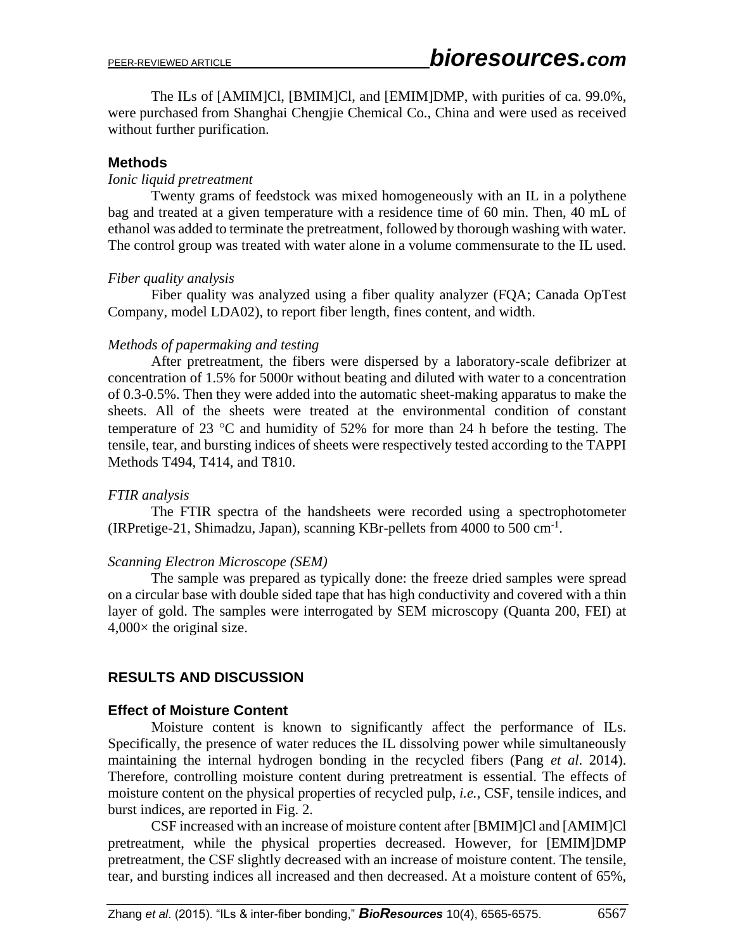The ILs of [AMIM]Cl, [BMIM]Cl, and [EMIM]DMP, with purities of ca. 99.0%, were purchased from Shanghai Chengjie Chemical Co., China and were used as received without further purification.

#### **Methods**

#### *Ionic liquid pretreatment*

Twenty grams of feedstock was mixed homogeneously with an IL in a polythene bag and treated at a given temperature with a residence time of 60 min. Then, 40 mL of ethanol was added to terminate the pretreatment, followed by thorough washing with water. The control group was treated with water alone in a volume commensurate to the IL used.

#### *Fiber quality analysis*

Fiber quality was analyzed using a fiber quality analyzer (FQA; Canada OpTest Company, model LDA02), to report fiber length, fines content, and width.

#### *Methods of papermaking and testing*

After pretreatment, the fibers were dispersed by a laboratory-scale defibrizer at concentration of 1.5% for 5000r without beating and diluted with water to a concentration of 0.3-0.5%. Then they were added into the automatic sheet-making apparatus to make the sheets. All of the sheets were treated at the environmental condition of constant temperature of 23  $\degree$ C and humidity of 52% for more than 24 h before the testing. The tensile, tear, and bursting indices of sheets were respectively tested according to the TAPPI Methods T494, T414, and T810.

## *FTIR analysis*

The FTIR spectra of the handsheets were recorded using a spectrophotometer (IRPretige-21, Shimadzu, Japan), scanning KBr-pellets from 4000 to 500 cm-1 .

#### *Scanning Electron Microscope (SEM)*

The sample was prepared as typically done: the freeze dried samples were spread on a circular base with double sided tape that has high conductivity and covered with a thin layer of gold. The samples were interrogated by SEM microscopy (Quanta 200, FEI) at  $4,000\times$  the original size.

## **RESULTS AND DISCUSSION**

## **Effect of Moisture Content**

Moisture content is known to significantly affect the performance of ILs. Specifically, the presence of water reduces the IL dissolving power while simultaneously maintaining the internal hydrogen bonding in the recycled fibers (Pang *et al*. 2014). Therefore, controlling moisture content during pretreatment is essential. The effects of moisture content on the physical properties of recycled pulp, *i.e.*, CSF, tensile indices, and burst indices, are reported in Fig. 2.

CSF increased with an increase of moisture content after [BMIM]Cl and [AMIM]Cl pretreatment, while the physical properties decreased. However, for [EMIM]DMP pretreatment, the CSF slightly decreased with an increase of moisture content. The tensile, tear, and bursting indices all increased and then decreased. At a moisture content of 65%,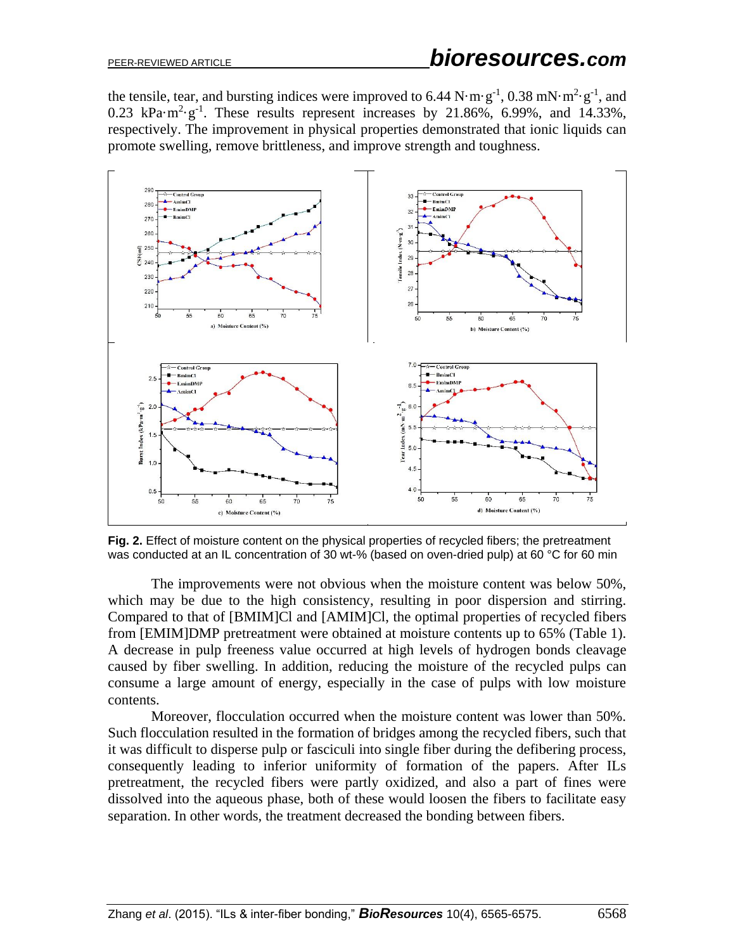the tensile, tear, and bursting indices were improved to 6.44  $N \cdot m \cdot g^{-1}$ , 0.38 mN $\cdot m^2 \cdot g^{-1}$ , and 0.23 kPa $\cdot$ m<sup>2</sup> $\cdot$ g<sup>-1</sup>. These results represent increases by 21.86%, 6.99%, and 14.33%, respectively. The improvement in physical properties demonstrated that ionic liquids can promote swelling, remove brittleness, and improve strength and toughness.



**Fig. 2.** Effect of moisture content on the physical properties of recycled fibers; the pretreatment was conducted at an IL concentration of 30 wt-% (based on oven-dried pulp) at 60 °C for 60 min

The improvements were not obvious when the moisture content was below 50%, which may be due to the high consistency, resulting in poor dispersion and stirring. Compared to that of [BMIM]Cl and [AMIM]Cl, the optimal properties of recycled fibers from [EMIM]DMP pretreatment were obtained at moisture contents up to 65% (Table 1). A decrease in pulp freeness value occurred at high levels of hydrogen bonds cleavage caused by fiber swelling. In addition, reducing the moisture of the recycled pulps can consume a large amount of energy, especially in the case of pulps with low moisture contents.

Moreover, flocculation occurred when the moisture content was lower than 50%. Such flocculation resulted in the formation of bridges among the recycled fibers, such that it was difficult to disperse pulp or fasciculi into single fiber during the defibering process, consequently leading to inferior uniformity of formation of the papers. After ILs pretreatment, the recycled fibers were partly oxidized, and also a part of fines were dissolved into the aqueous phase, both of these would loosen the fibers to facilitate easy separation. In other words, the treatment decreased the bonding between fibers.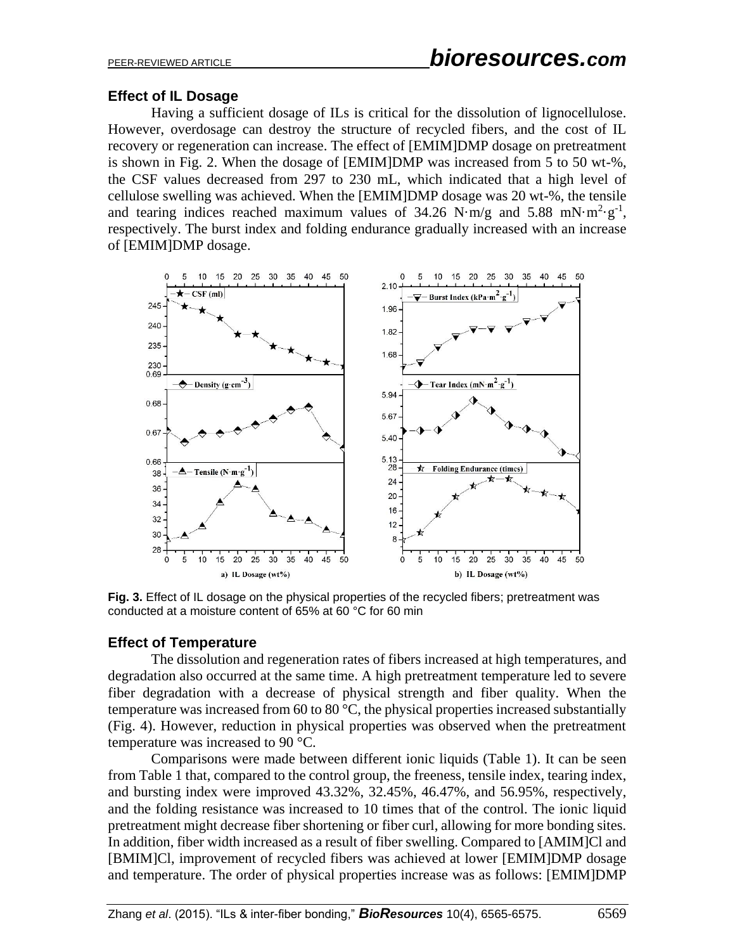## **Effect of IL Dosage**

Having a sufficient dosage of ILs is critical for the dissolution of lignocellulose. However, overdosage can destroy the structure of recycled fibers, and the cost of IL recovery or regeneration can increase. The effect of [EMIM]DMP dosage on pretreatment is shown in Fig. 2. When the dosage of [EMIM]DMP was increased from 5 to 50 wt-%, the CSF values decreased from 297 to 230 mL, which indicated that a high level of cellulose swelling was achieved. When the [EMIM]DMP dosage was 20 wt-%, the tensile and tearing indices reached maximum values of  $34.26$  N·m/g and  $5.88$  mN·m<sup>2</sup>·g<sup>-1</sup>, respectively. The burst index and folding endurance gradually increased with an increase of [EMIM]DMP dosage.



**Fig. 3.** Effect of IL dosage on the physical properties of the recycled fibers; pretreatment was conducted at a moisture content of 65% at 60 °C for 60 min

## **Effect of Temperature**

The dissolution and regeneration rates of fibers increased at high temperatures, and degradation also occurred at the same time. A high pretreatment temperature led to severe fiber degradation with a decrease of physical strength and fiber quality. When the temperature was increased from 60 to 80 °C, the physical properties increased substantially (Fig. 4). However, reduction in physical properties was observed when the pretreatment temperature was increased to 90 °C.

Comparisons were made between different ionic liquids (Table 1). It can be seen from Table 1 that, compared to the control group, the freeness, tensile index, tearing index, and bursting index were improved 43.32%, 32.45%, 46.47%, and 56.95%, respectively, and the folding resistance was increased to 10 times that of the control. The ionic liquid pretreatment might decrease fiber shortening or fiber curl, allowing for more bonding sites. In addition, fiber width increased as a result of fiber swelling. Compared to [AMIM]Cl and [BMIM]Cl, improvement of recycled fibers was achieved at lower [EMIM]DMP dosage and temperature. The order of physical properties increase was as follows: [EMIM]DMP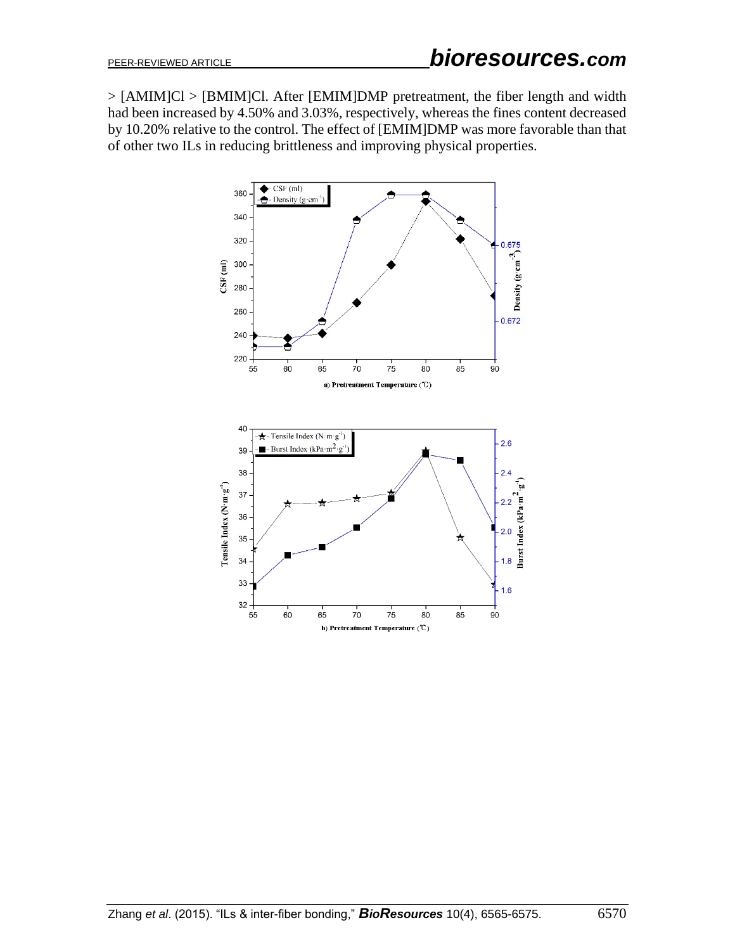> [AMIM]Cl > [BMIM]Cl. After [EMIM]DMP pretreatment, the fiber length and width had been increased by 4.50% and 3.03%, respectively, whereas the fines content decreased by 10.20% relative to the control. The effect of [EMIM]DMP was more favorable than that of other two ILs in reducing brittleness and improving physical properties.

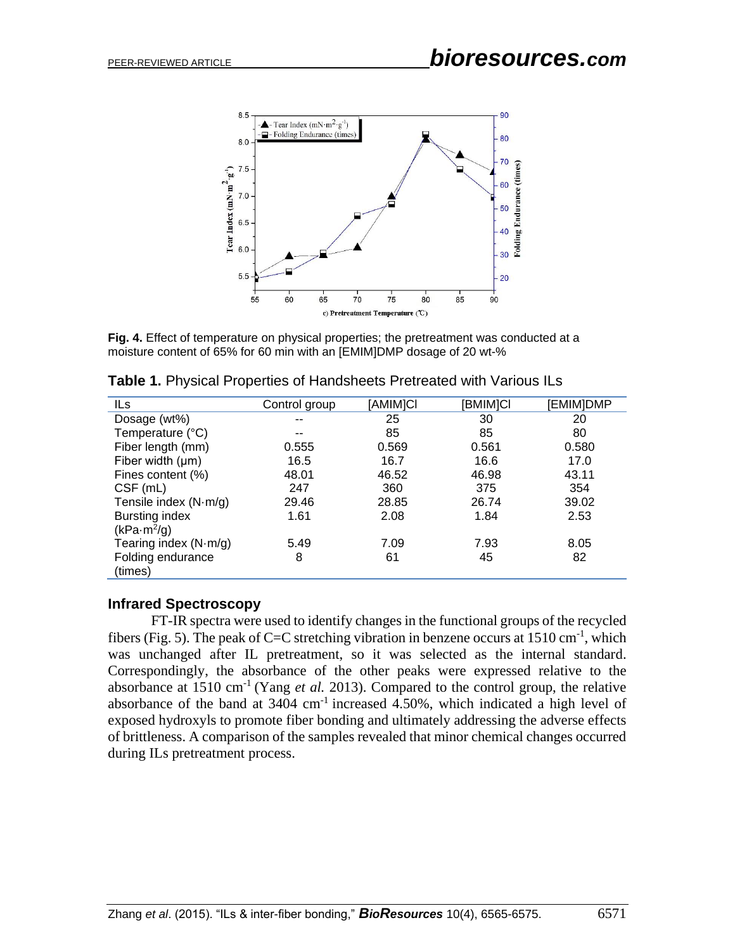

**Fig. 4.** Effect of temperature on physical properties; the pretreatment was conducted at a moisture content of 65% for 60 min with an [EMIM]DMP dosage of 20 wt-%

| ILs                           | Control group | [AMIM]CI | [BMIM]CI | [EMIM]DMP |
|-------------------------------|---------------|----------|----------|-----------|
| Dosage (wt%)                  | --            | 25       | 30       | 20        |
| Temperature (°C)              | --            | 85       | 85       | 80        |
| Fiber length (mm)             | 0.555         | 0.569    | 0.561    | 0.580     |
| Fiber width $(\mu m)$         | 16.5          | 16.7     | 16.6     | 17.0      |
| Fines content (%)             | 48.01         | 46.52    | 46.98    | 43.11     |
| CSF (mL)                      | 247           | 360      | 375      | 354       |
| Tensile index $(N \cdot m/g)$ | 29.46         | 28.85    | 26.74    | 39.02     |
| <b>Bursting index</b>         | 1.61          | 2.08     | 1.84     | 2.53      |
| (kPa·m <sup>2</sup> /g)       |               |          |          |           |
| Tearing index $(N·m/g)$       | 5.49          | 7.09     | 7.93     | 8.05      |
| Folding endurance             | 8             | 61       | 45       | 82        |
| (times)                       |               |          |          |           |

**Table 1.** Physical Properties of Handsheets Pretreated with Various ILs

#### **Infrared Spectroscopy**

FT-IR spectra were used to identify changes in the functional groups of the recycled fibers (Fig. 5). The peak of C=C stretching vibration in benzene occurs at  $1510 \text{ cm}^{-1}$ , which was unchanged after IL pretreatment, so it was selected as the internal standard. Correspondingly, the absorbance of the other peaks were expressed relative to the absorbance at 1510 cm-1 (Yang *et al.* 2013). Compared to the control group, the relative absorbance of the band at  $3404 \text{ cm}^{-1}$  increased  $4.50\%$ , which indicated a high level of exposed hydroxyls to promote fiber bonding and ultimately addressing the adverse effects of brittleness. A comparison of the samples revealed that minor chemical changes occurred during ILs pretreatment process.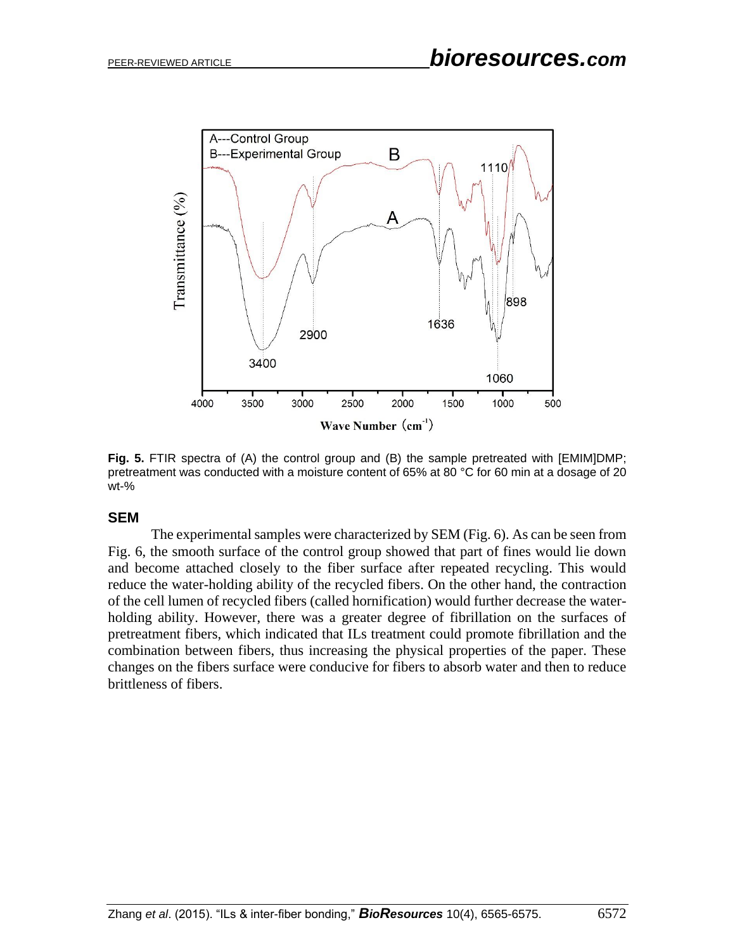

**Fig. 5.** FTIR spectra of (A) the control group and (B) the sample pretreated with [EMIM]DMP; pretreatment was conducted with a moisture content of 65% at 80 °C for 60 min at a dosage of 20 wt-%

#### **SEM**

The experimental samples were characterized by SEM (Fig. 6). As can be seen from Fig. 6, the smooth surface of the control group showed that part of fines would lie down and become attached closely to the fiber surface after repeated recycling. This would reduce the water-holding ability of the recycled fibers. On the other hand, the contraction of the cell lumen of recycled fibers (called hornification) would further decrease the waterholding ability. However, there was a greater degree of fibrillation on the surfaces of pretreatment fibers, which indicated that ILs treatment could promote fibrillation and the combination between fibers, thus increasing the physical properties of the paper. These changes on the fibers surface were conducive for fibers to absorb water and then to reduce brittleness of fibers.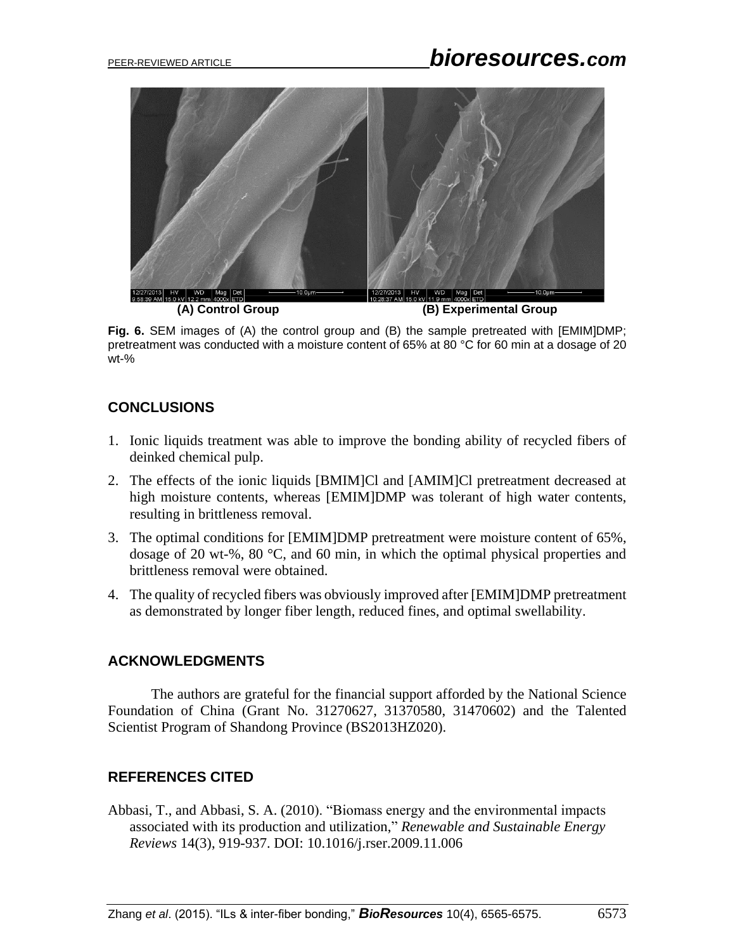

**Fig. 6.** SEM images of (A) the control group and (B) the sample pretreated with [EMIM]DMP; pretreatment was conducted with a moisture content of 65% at 80 °C for 60 min at a dosage of 20 wt-%

## **CONCLUSIONS**

- 1. Ionic liquids treatment was able to improve the bonding ability of recycled fibers of deinked chemical pulp.
- 2. The effects of the ionic liquids [BMIM]Cl and [AMIM]Cl pretreatment decreased at high moisture contents, whereas [EMIM]DMP was tolerant of high water contents, resulting in brittleness removal.
- 3. The optimal conditions for [EMIM]DMP pretreatment were moisture content of 65%, dosage of 20 wt-%, 80 °C, and 60 min, in which the optimal physical properties and brittleness removal were obtained.
- 4. The quality of recycled fibers was obviously improved after [EMIM]DMP pretreatment as demonstrated by longer fiber length, reduced fines, and optimal swellability.

## **ACKNOWLEDGMENTS**

The authors are grateful for the financial support afforded by the National Science Foundation of China (Grant No. 31270627, 31370580, 31470602) and the Talented Scientist Program of Shandong Province (BS2013HZ020).

## **REFERENCES CITED**

Abbasi, T., and Abbasi, S. A. (2010). "Biomass energy and the environmental impacts associated with its production and utilization," *Renewable and Sustainable Energy Reviews* 14(3), 919-937. DOI: 10.1016/j.rser.2009.11.006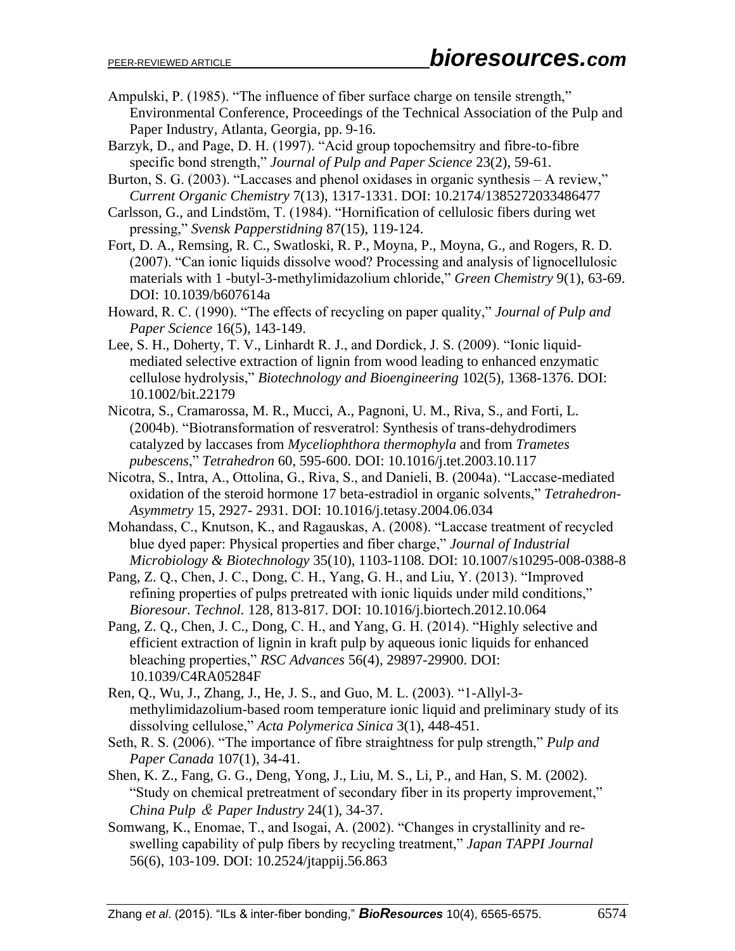- Ampulski, P. (1985). "The influence of fiber surface charge on tensile strength," Environmental Conference, Proceedings of the Technical Association of the Pulp and Paper Industry, Atlanta, Georgia, pp. 9-16.
- Barzyk, D., and Page, D. H. (1997). "Acid group topochemsitry and fibre-to-fibre specific bond strength," *Journal of Pulp and Paper Science* 23(2), 59-61.
- Burton, S. G. (2003). "Laccases and phenol oxidases in organic synthesis A review," *Current Organic Chemistry* 7(13), 1317-1331. DOI: 10.2174/1385272033486477
- Carlsson, G., and Lindstöm, T. (1984). "Hornification of cellulosic fibers during wet pressing," *Svensk Papperstidning* 87(15), 119-124.
- Fort, D. A., Remsing, R. C., Swatloski, R. P., Moyna, P., Moyna, G., and Rogers, R. D. (2007). "Can ionic liquids dissolve wood? Processing and analysis of lignocellulosic materials with 1 -butyl-3-methylimidazolium chloride," *Green Chemistry* 9(1), 63-69. DOI: 10.1039/b607614a
- Howard, R. C. (1990). "The effects of recycling on paper quality," *Journal of Pulp and Paper Science* 16(5), 143-149.
- Lee, S. H., Doherty, T. V., Linhardt R. J., and Dordick, J. S. (2009). "Ionic liquidmediated selective extraction of lignin from wood leading to enhanced enzymatic cellulose hydrolysis," *Biotechnology and Bioengineering* 102(5), 1368-1376. DOI: 10.1002/bit.22179
- Nicotra, S., Cramarossa, M. R., Mucci, A., Pagnoni, U. M., Riva, S., and Forti, L. (2004b). "Biotransformation of resveratrol: Synthesis of trans-dehydrodimers catalyzed by laccases from *Myceliophthora thermophyla* and from *Trametes pubescens*," *Tetrahedron* 60, 595-600. DOI: 10.1016/j.tet.2003.10.117
- Nicotra, S., Intra, A., Ottolina, G., Riva, S., and Danieli, B. (2004a). "Laccase-mediated oxidation of the steroid hormone 17 beta-estradiol in organic solvents," *Tetrahedron-Asymmetry* 15, 2927- 2931. DOI: 10.1016/j.tetasy.2004.06.034
- Mohandass, C., Knutson, K., and Ragauskas, A. (2008). "Laccase treatment of recycled blue dyed paper: Physical properties and fiber charge," *Journal of Industrial Microbiology & Biotechnology* 35(10), 1103-1108. DOI: 10.1007/s10295-008-0388-8
- Pang, Z. Q., Chen, J. C., Dong, C. H., Yang, G. H., and Liu, Y. (2013). "Improved refining properties of pulps pretreated with ionic liquids under mild conditions," *Bioresour. Technol.* 128, 813-817. DOI: 10.1016/j.biortech.2012.10.064
- Pang, Z. Q., Chen, J. C., Dong, C. H., and Yang, G. H. (2014). "Highly selective and efficient extraction of lignin in kraft pulp by aqueous ionic liquids for enhanced bleaching properties," *RSC Advances* 56(4), 29897-29900. DOI: 10.1039/C4RA05284F
- Ren, Q., Wu, J., Zhang, J., He, J. S., and Guo, M. L. (2003). "1-Allyl-3 methylimidazolium-based room temperature ionic liquid and preliminary study of its dissolving cellulose," *Acta Polymerica Sinica* 3(1), 448-451.
- Seth, R. S. (2006). "The importance of fibre straightness for pulp strength," *Pulp and Paper Canada* 107(1), 34-41.
- Shen, K. Z., Fang, G. G., Deng, Yong, J., Liu, M. S., Li, P., and Han, S. M. (2002). "Study on chemical pretreatment of secondary fiber in its property improvement," *China Pulp* & *Paper Industry* 24(1), 34-37.
- Somwang, K., Enomae, T., and Isogai, A. (2002). "Changes in crystallinity and reswelling capability of pulp fibers by recycling treatment," *Japan TAPPI Journal* 56(6), 103-109. DOI: 10.2524/jtappij.56.863